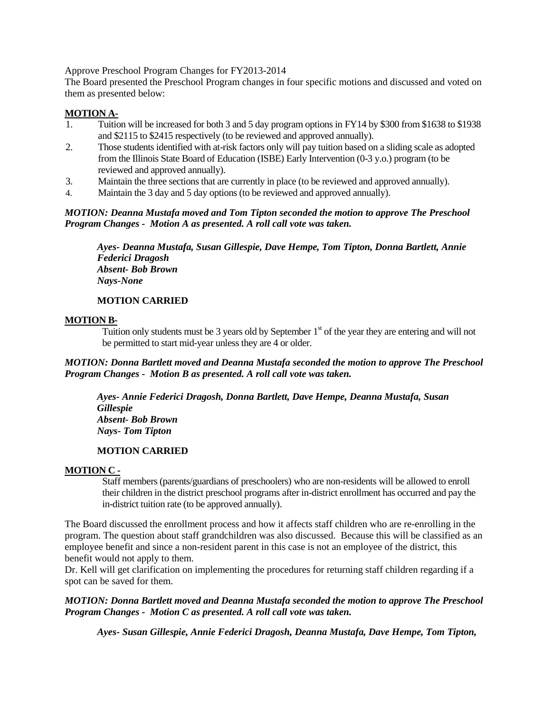Approve Preschool Program Changes for FY2013-2014

The Board presented the Preschool Program changes in four specific motions and discussed and voted on them as presented below:

# **MOTION A-**

- 1. Tuition will be increased for both 3 and 5 day program options in FY14 by \$300 from \$1638 to \$1938 and \$2115 to \$2415 respectively (to be reviewed and approved annually).
- 2. Those students identified with at-risk factors only will pay tuition based on a sliding scale as adopted from the Illinois State Board of Education (ISBE) Early Intervention (0-3 y.o.) program (to be reviewed and approved annually).
- 3. Maintain the three sections that are currently in place (to be reviewed and approved annually).
- 4. Maintain the 3 day and 5 day options (to be reviewed and approved annually).

### *MOTION: Deanna Mustafa moved and Tom Tipton seconded the motion to approve The Preschool Program Changes - Motion A as presented. A roll call vote was taken.*

*Ayes- Deanna Mustafa, Susan Gillespie, Dave Hempe, Tom Tipton, Donna Bartlett, Annie Federici Dragosh Absent- Bob Brown Nays-None* 

# **MOTION CARRIED**

#### **MOTION B-**

Tuition only students must be 3 years old by September  $1<sup>st</sup>$  of the year they are entering and will not be permitted to start mid-year unless they are 4 or older.

### *MOTION: Donna Bartlett moved and Deanna Mustafa seconded the motion to approve The Preschool Program Changes - Motion B as presented. A roll call vote was taken.*

 *Ayes- Annie Federici Dragosh, Donna Bartlett, Dave Hempe, Deanna Mustafa, Susan Gillespie Absent- Bob Brown Nays- Tom Tipton*

# **MOTION CARRIED**

### **MOTION C -**

Staff members (parents/guardians of preschoolers) who are non-residents will be allowed to enroll their children in the district preschool programs after in-district enrollment has occurred and pay the in-district tuition rate (to be approved annually).

The Board discussed the enrollment process and how it affects staff children who are re-enrolling in the program. The question about staff grandchildren was also discussed. Because this will be classified as an employee benefit and since a non-resident parent in this case is not an employee of the district, this benefit would not apply to them.

Dr. Kell will get clarification on implementing the procedures for returning staff children regarding if a spot can be saved for them.

# *MOTION: Donna Bartlett moved and Deanna Mustafa seconded the motion to approve The Preschool Program Changes - Motion C as presented. A roll call vote was taken.*

*Ayes- Susan Gillespie, Annie Federici Dragosh, Deanna Mustafa, Dave Hempe, Tom Tipton,*